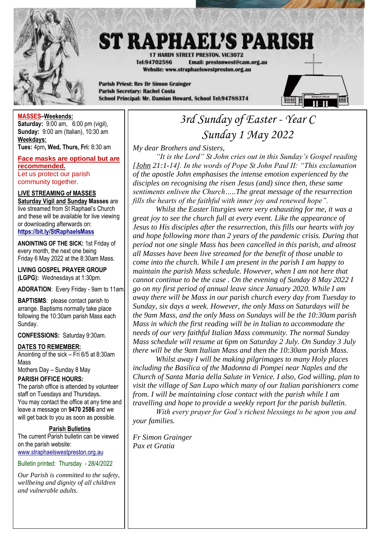

# **ST RAPHAEL'S PARISH**

17 HARDY STREET PRESTON, VIC3072 Tel:94702586 Email: prestonwest@cam.org.au Website: www.straphaelswestpreston.org.au

**Parish Priest: Rev Dr Simon Grainger Parish Secretary: Rachel Costa** School Principal: Mr. Damian Howard, School Tel:94788374



**MASSES–Weekends: Saturday:** 9:00 am, 6:00 pm (vigil), **Sunday:** 9:00 am (Italian), 10:30 am **Weekdays:** 

**Tues:** 4pm**, Wed, Thurs, Fri:** 8:30 am

**Face masks are optional but are recommended.** Let us protect our parish community together.

**LIVE STREAMING of MASSES Saturday Vigil and Sunday Masses** are live streamed from St Raphael's Church and these will be available for live viewing or downloading afterwards on: **<https://bit.ly/StRaphaelsMass>**

**ANOINTING OF THE SICK:** 1st Friday of every month, the next one being Friday 6 May 2022 at the 8:30am Mass.

**LIVING GOSPEL PRAYER GROUP (LGPG):** Wednesdays at 1:30pm.

**ADORATION**: Every Friday - 9am to 11am.

**BAPTISMS:** please contact parish to arrange. Baptisms normally take place following the 10:30am parish Mass each Sunday.

**CONFESSIONS:** Saturday 9:30am.

#### **DATES TO REMEMBER:**

Anointing of the sick – Fri 6/5 at 8:30am Mass

Mothers Day – Sunday 8 May **PARISH OFFICE HOURS:**

The parish office is attended by volunteer staff on Tuesdays and Thursdays**.** You may contact the office at any time and leave a message on **9470 2586** and we will get back to you as soon as possible.

#### **Parish Bulletins**

The current Parish bulletin can be viewed on the parish website: [www.straphaelswestpreston.org.au](file:///D:/Google%20Drive/ST%20RAPHAEL)

Bulletin printed: Thursday - 28/4/2022

*Our Parish is committed to the safety, wellbeing and dignity of all children and vulnerable adults.*

## *3rd Sunday of Easter - Year C Sunday 1 May 2022*

*My dear Brothers and Sisters,*

*"It is the Lord" St John cries out in this Sunday's Gospel reading [John 21:1-14]. In the words of Pope St John Paul II: "This exclamation of the apostle John emphasises the intense emotion experienced by the disciples on recognising the risen Jesus (and) since then, these same sentiments enliven the Church…..The great message of the resurrection fills the hearts of the faithful with inner joy and renewed hope".*

*Whilst the Easter liturgies were very exhausting for me, it was a great joy to see the church full at every event. Like the appearance of Jesus to His disciples after the resurrection, this fills our hearts with joy and hope following more than 2 years of the pandemic crisis. During that period not one single Mass has been cancelled in this parish, and almost all Masses have been live streamed for the benefit of those unable to come into the church. While I am present in the parish I am happy to maintain the parish Mass schedule. However, when I am not here that cannot continue to be the case . On the evening of Sunday 8 May 2022 I go on my first period of annual leave since January 2020. While I am away there will be Mass in our parish church every day from Tuesday to Sunday, six days a week. However, the only Mass on Saturdays will be the 9am Mass, and the only Mass on Sundays will be the 10:30am parish Mass in which the first reading will be in Italian to accommodate the needs of our very faithful Italian Mass community. The normal Sunday Mass schedule will resume at 6pm on Saturday 2 July. On Sunday 3 July there will be the 9am Italian Mass and then the 10:30am parish Mass.* 

*Whilst away I will be making pilgrimages to many Holy places including the Basilica of the Madonna di Pompei near Naples and the Church of Santa Maria della Salute in Venice. I also, God willing, plan to visit the village of San Lupo which many of our Italian parishioners come from. I will be maintaining close contact with the parish while I am travelling and hope to provide a weekly report for the parish bulletin.*

*With every prayer for God's richest blessings to be upon you and your families.*

*Fr Simon Grainger Pax et Gratia*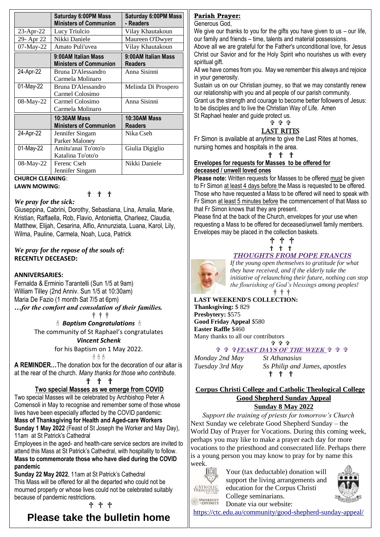|              | <b>Saturday 6:00PM Mass</b><br><b>Ministers of Communion</b> | Saturday 6:00PM Mass<br>- Readers     |
|--------------|--------------------------------------------------------------|---------------------------------------|
| $23$ -Apr-22 | Lucy Triulcio                                                | Vilay Khautakoun                      |
| 29- Apr 22   | Nikki Daniele                                                | Maureen O'Dwyer                       |
| 07-May-22    | Amato Puli'uvea                                              | Vilay Khautakoun                      |
|              | 9:00AM Italian Mass<br><b>Ministers of Communion</b>         | 9:00AM Italian Mass<br><b>Readers</b> |
| 24-Apr-22    | Bruna D'Alessandro<br>Carmela Molinaro                       | Anna Sisinni                          |
| 01-May-22    | Bruna D'Alessandro<br>Carmel Colosimo                        | Melinda Di Prospero                   |
| 08-May-22    | Carmel Colosimo<br>Carmela Molinaro                          | Anna Sisinni                          |
|              | 10:30AM Mass<br><b>Ministers of Communion</b>                | 10:30AM Mass<br><b>Readers</b>        |
| 24-Apr-22    | Jennifer Singam<br>Parker Maloney                            | Nika Cseh                             |
| 01-May-22    | Amitu'anai To'oto'o<br>Katalina To'oto'o                     | Giulia Digiglio                       |
| 08-May-22    | Ferenc Cseh<br>Jennifer Singam                               | Nikki Daniele                         |

#### **CHURCH CLEANING**: **LAWN MOWING:**

† † †

#### *We pray for the sick:*

Giuseppina, Cabrini, Dorothy, Sebastiana, Lina, Amalia, Marie, Kristian, Raffaella, Rob, Flavio, Antonietta, Charleez, Claudia, Matthew, Elijah, Cesarina, Alfio, Annunziata, Luana, Karol, Lily, Wilma, Pauline, Carmela, Noah, Luca, Patrick

#### *We pray for the repose of the souls of:*  **RECENTLY DECEASED:**

#### **ANNIVERSARIES:**

Fernalda & Erminio Tarantelli (Sun 1/5 at 9am) William Tilley (2nd Anniv. Sun 1/5 at 10:30am) Maria De Fazio (1 month Sat 7/5 at 6pm) *…for the comfort and consolation of their families.*

† † †

 *Baptism Congratulations*  The community of St Raphael's congratulates

#### *Vincent Schenk*

for his Baptism on 1 May 2022.

#### $A$  $A$  $A$

**A REMINDER…**The donation box for the decoration of our altar is at the rear of the church. *Many thanks for those who contribute.*

#### † † †

## **Two special Masses as we emerge from COVID**

Two special Masses will be celebrated by Archbishop Peter A Comensoli in May to recognise and remember some of those whose lives have been especially affected by the COVID pandemic: **Mass of Thanksgiving for Health and Aged-care Workers Sunday 1 May 2022** (Feast of St Joseph the Worker and May Day), 11am at St Patrick's Cathedral

Employees in the aged- and health-care service sectors are invited to attend this Mass at St Patrick's Cathedral, with hospitality to follow. **Mass to commemorate those who have died during the COVID pandemic**

**Sunday 22 May 2022**, 11am at St Patrick's Cathedral This Mass will be offered for all the departed who could not be mourned properly or whose lives could not be celebrated suitably because of pandemic restrictions.

## † † †

## **Please take the bulletin home**

## **Parish Prayer:**

Generous God,

We give our thanks to you for the gifts you have given to us - our life, our family and friends – time, talents and material possessions.

Above all we are grateful for the Father's unconditional love, for Jesus Christ our Savior and for the Holy Spirit who nourishes us with every spiritual gift.

All we have comes from you. May we remember this always and rejoice in your generosity.

Sustain us on our Christian journey, so that we may constantly renew our relationship with you and all people of our parish community. Grant us the strength and courage to become better followers of Jesus:

to be disciples and to live the Christian Way of Life. Amen St Raphael healer and guide protect us.

#### ቀቀቀ LAST RITES

Fr Simon is available at anytime to give the Last Rites at homes, nursing homes and hospitals in the area.

#### † † †

#### **Envelopes for requests for Masses to be offered for deceased / unwell loved ones**

**Please note:** Written requests for Masses to be offered must be given to Fr Simon at least 4 days before the Mass is requested to be offered. Those who have requested a Mass to be offered will need to speak with Fr Simon at least 5 minutes before the commencement of that Mass so that Fr Simon knows that they are present.

Please find at the back of the Church, envelopes for your use when requesting a Mass to be offered for deceased/unwell family members. Envelopes may be placed in the collection baskets.

## † † † † † †

## *THOUGHTS FROM POPE FRANCIS*



*If the young open themselves to gratitude for what they have received, and if the elderly take the initiative of relaunching their future, nothing can stop the flourishing of God's blessings among peoples!* 

† † †

**LAST WEEKEND'S COLLECTION: Thanksgiving:** \$ 829 **Presbytery:** \$575 **Good Friday Appeal** \$580 **Easter Raffle** \$460 Many thanks to all our contributors

#### ቁ ቁ ቁ  **FEAST DAYS OF THE WEEK**

*Monday 2nd May St Athanasius*

*Tuesday 3rd May Ss Philip and James, apostles* † † †

#### **Corpus Christi College and Catholic Theological College Good Shepherd Sunday Appeal Sunday 8 May 2022**

*Support the training of priests for tomorrow's Church* Next Sunday we celebrate Good Shepherd Sunday – the World Day of Prayer for Vocations. During this coming week, perhaps you may like to make a prayer each day for more vocations to the priesthood and consecrated life. Perhaps there is a young person you may know to pray for by name this week.



Your (tax deductable) donation will support the living arrangements and education for the Corpus Christi College seminarians.



**DNIVERSITY** 

<https://ctc.edu.au/community/good-shepherd-sunday-appeal/>

Donate via our website: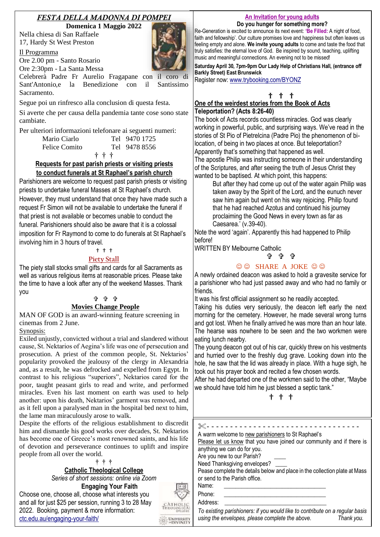## *FESTA DELLA MADONNA DI POMPEI*

**Domenica 1 Maggio 2022**

Nella chiesa di San Raffaele 17, Hardy St West Preston

Il Programma

Ore 2.00 pm - Santo Rosario Ore 2:30pm - La Santa Messa

Celebrerà Padre Fr Aurelio Fragapane con il coro di Sant'Antonio,e la Benedizione con il Santissimo Sacramento.

Segue poi un rinfresco alla conclusion di questa festa.

Si averte che per causa della pandemia tante cose sono state cambiate.

Per ulteriori informazioni telefonare ai seguenti numeri:

| Mario Ciarlo  | Tel 9470 1725 |  |
|---------------|---------------|--|
| Felice Comito | Tel 9478 8556 |  |
|               | † † †         |  |

#### **Requests for past parish priests or visiting priests to conduct funerals at St Raphael's parish church**

Parishioners are welcome to request past parish priests or visiting priests to undertake funeral Masses at St Raphael's church. However, they must understand that once they have made such a request Fr Simon will not be available to undertake the funeral if that priest is not available or becomes unable to conduct the funeral. Parishioners should also be aware that it is a colossal imposition for Fr Raymond to come to do funerals at St Raphael's involving him in 3 hours of travel.

#### † † †

## **Piety Stall**

The piety stall stocks small gifts and cards for all Sacraments as well as various religious items at reasonable prices. Please take the time to have a look after any of the weekend Masses. Thank you

## ቱ ቱ ቱ

## **Movies Change People**

MAN OF GOD is an award-winning feature screening in cinemas from 2 June.

#### Synopsis:

Exiled unjustly, convicted without a trial and slandered without cause, St. Nektarios of Aegina's life was one of persecution and prosecution. A priest of the common people, St. Nektarios' popularity provoked the jealousy of the clergy in Alexandria and, as a result, he was defrocked and expelled from Egypt. In contrast to his religious "superiors", Nektarios cared for the poor, taught peasant girls to read and write, and performed miracles. Even his last moment on earth was used to help another: upon his death, Nektarios' garment was removed, and as it fell upon a paralysed man in the hospital bed next to him, the lame man miraculously arose to walk.

Despite the efforts of the religious establishment to discredit him and dismantle his good works over decades, St. Nektarios has become one of Greece's most renowned saints, and his life of devotion and perseverance continues to uplift and inspire people from all over the world.

#### **† † †**

#### **Catholic Theological College**

*Series of short sessions: online via Zoom*

**Engaging Your Faith** Choose one, choose all, choose what interests you and all for just \$25 per session, running 3 to 28 May 2022. Booking, payment & more information: [ctc.edu.au/engaging-your-faith/](https://ctc.edu.au/engaging-your-faith/)



#### **An Invitation for young adults Do you hunger for something more?**

Re-Generation is excited to announce its next event: **'Be Filled:** A night of food, faith and fellowship'. Our culture promises love and happiness but often leaves us feeling empty and alone. **We invite young adults** to come and taste the food that truly satisfies: the eternal love of God. Be inspired by sound, teaching, uplifting music and meaningful connections. An evening not to be missed!

**Saturday April 30, 7pm-9pm Our Lady Help of Christians Hall, (entrance off Barkly Street) East Brunswick**

Register now: [www.trybooking.com/BYONZ](file:///C:/Temp/www.trybooking.com/BYONZ)

## † † †

## **One of the weirdest stories from the Book of Acts Teleportation? (Acts 8:26-40)**

The book of Acts records countless miracles. God was clearly working in powerful, public, and surprising ways. We've read in the stories of St Pio of Pietrelcina (Padre Pio) the phenomenon of bilocation, of being in two places at once. But teleportation? Apparently that's something that happened as well.

The apostle Philip was instructing someone in their understanding of the Scriptures, and after seeing the truth of Jesus Christ they wanted to be baptised. At which point, this happens:

But after they had come up out of the water again Philip was taken away by the Spirit of the Lord, and the eunuch never saw him again but went on his way rejoicing. Philip found that he had reached Azotus and continued his journey proclaiming the Good News in every town as far as Caesarea.' (v.39-40).

Note the word 'again'. Apparently this had happened to Philip before!

WRITTEN BY Melbourne Catholic

## ቱ ቱ ቱ

## $\odot$   $\odot$  SHARE A JOKE  $\odot$   $\odot$

A newly ordained deacon was asked to hold a gravesite service for a parishioner who had just passed away and who had no family or friends.

It was his first official assignment so he readily accepted.

Taking his duties very seriously, the deacon left early the next morning for the cemetery. However, he made several wrong turns and got lost. When he finally arrived he was more than an hour late. The hearse was nowhere to be seen and the two workmen were eating lunch nearby.

The young deacon got out of his car, quickly threw on his vestments and hurried over to the freshly dug grave. Looking down into the hole, he saw that the lid was already in place. With a huge sigh, he took out his prayer book and recited a few chosen words.

After he had departed one of the workmen said to the other, "Maybe we should have told him he just blessed a septic tank."

† † †

| A warm welcome to new parishioners to St Raphael's                         |
|----------------------------------------------------------------------------|
| Please let us know that you have joined our community and if there is      |
| anything we can do for you.                                                |
| Are you new to our Parish?                                                 |
| Need Thanksgiving envelopes?                                               |
| Pease complete the details below and place in the collection plate at Mass |
| or send to the Parish office.                                              |
| Name:                                                                      |
| Phone:                                                                     |
| Address:                                                                   |
|                                                                            |

*To existing parishioners: if you would like to contribute on a regular basis using the envelopes, please complete the above. Thank you.*